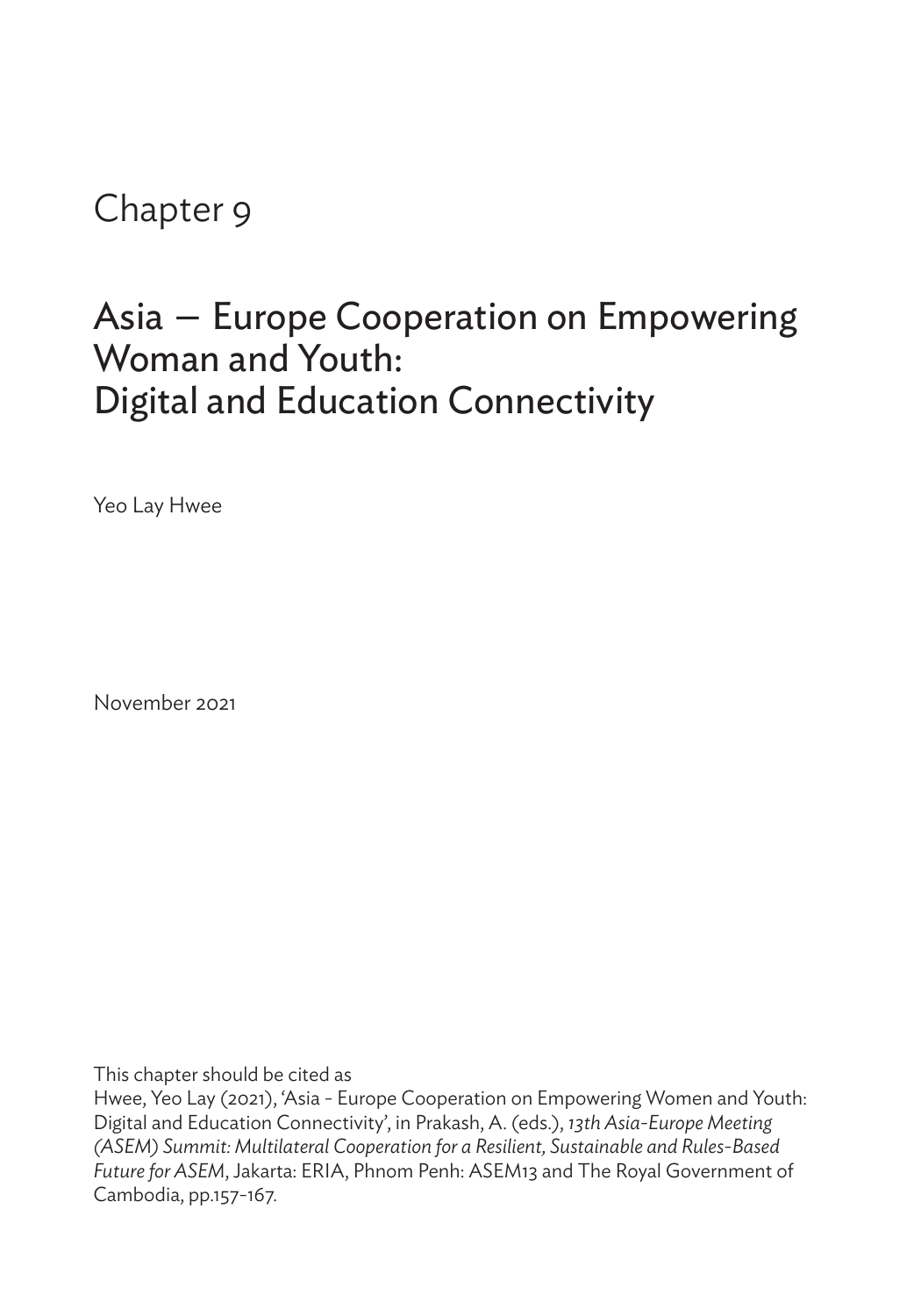# Chapter 9

# Asia — Europe Cooperation on Empowering Woman and Youth: Digital and Education Connectivity

Yeo Lay Hwee

November 2021

This chapter should be cited as

Hwee, Yeo Lay (2021), 'Asia - Europe Cooperation on Empowering Women and Youth: Digital and Education Connectivity', in Prakash, A. (eds.), *13th Asia-Europe Meeting (ASEM) Summit: Multilateral Cooperation for a Resilient, Sustainable and Rules-Based Future for ASEM*, Jakarta: ERIA, Phnom Penh: ASEM13 and The Royal Government of Cambodia, pp.157-167.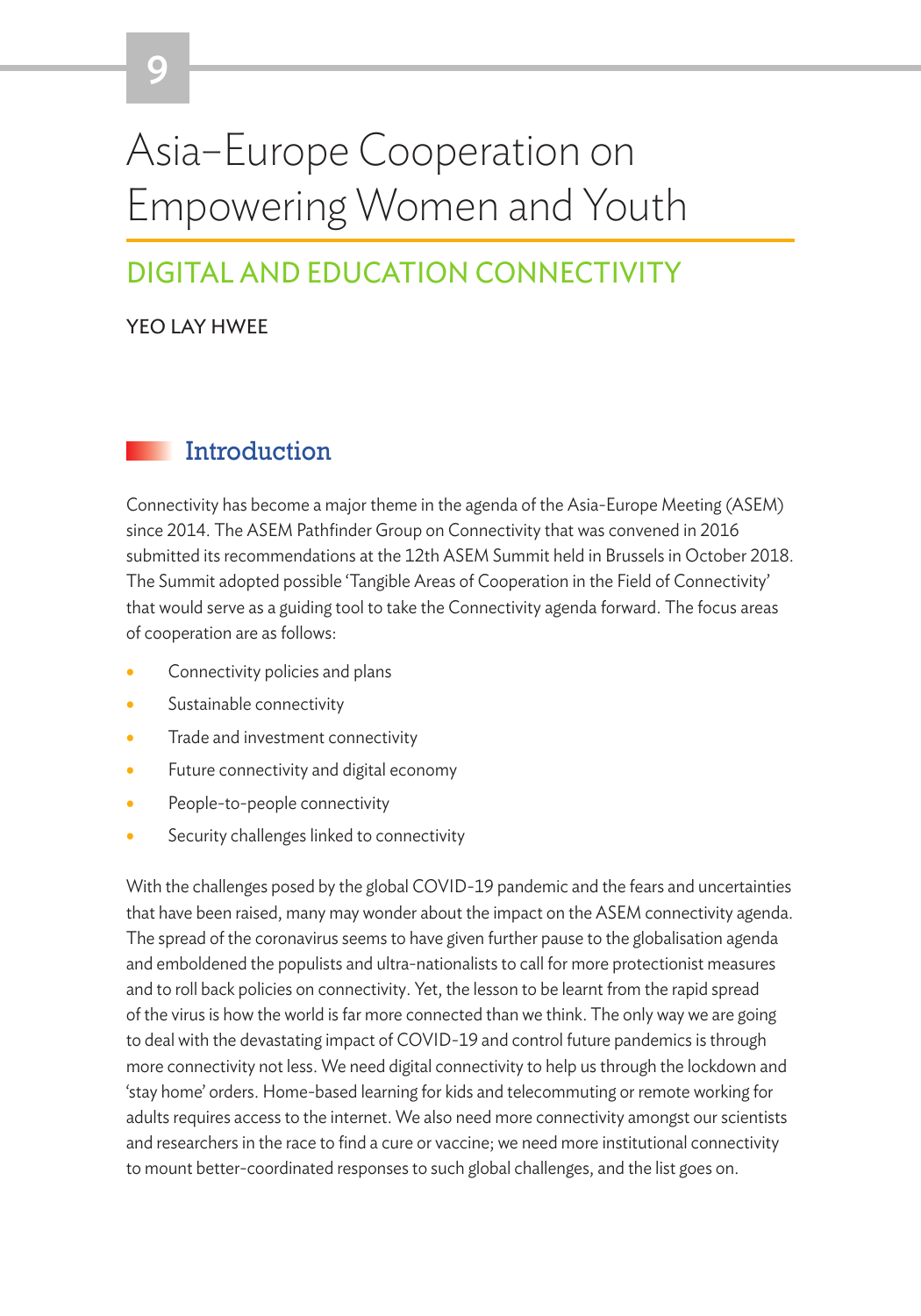# Asia–Europe Cooperation on Empowering Women and Youth

# DIGITAL AND EDUCATION CONNECTIVITY

YEO LAY HWEE

 $\bullet$ 

#### **Introduction**

Connectivity has become a major theme in the agenda of the Asia-Europe Meeting (ASEM) since 2014. The ASEM Pathfinder Group on Connectivity that was convened in 2016 submitted its recommendations at the 12th ASEM Summit held in Brussels in October 2018. The Summit adopted possible 'Tangible Areas of Cooperation in the Field of Connectivity' that would serve as a guiding tool to take the Connectivity agenda forward. The focus areas of cooperation are as follows:

- Connectivity policies and plans
- Sustainable connectivity
- Trade and investment connectivity
- Future connectivity and digital economy
- People-to-people connectivity
- Security challenges linked to connectivity

With the challenges posed by the global COVID-19 pandemic and the fears and uncertainties that have been raised, many may wonder about the impact on the ASEM connectivity agenda. The spread of the coronavirus seems to have given further pause to the globalisation agenda and emboldened the populists and ultra-nationalists to call for more protectionist measures and to roll back policies on connectivity. Yet, the lesson to be learnt from the rapid spread of the virus is how the world is far more connected than we think. The only way we are going to deal with the devastating impact of COVID-19 and control future pandemics is through more connectivity not less. We need digital connectivity to help us through the lockdown and 'stay home' orders. Home-based learning for kids and telecommuting or remote working for adults requires access to the internet. We also need more connectivity amongst our scientists and researchers in the race to find a cure or vaccine; we need more institutional connectivity to mount better-coordinated responses to such global challenges, and the list goes on.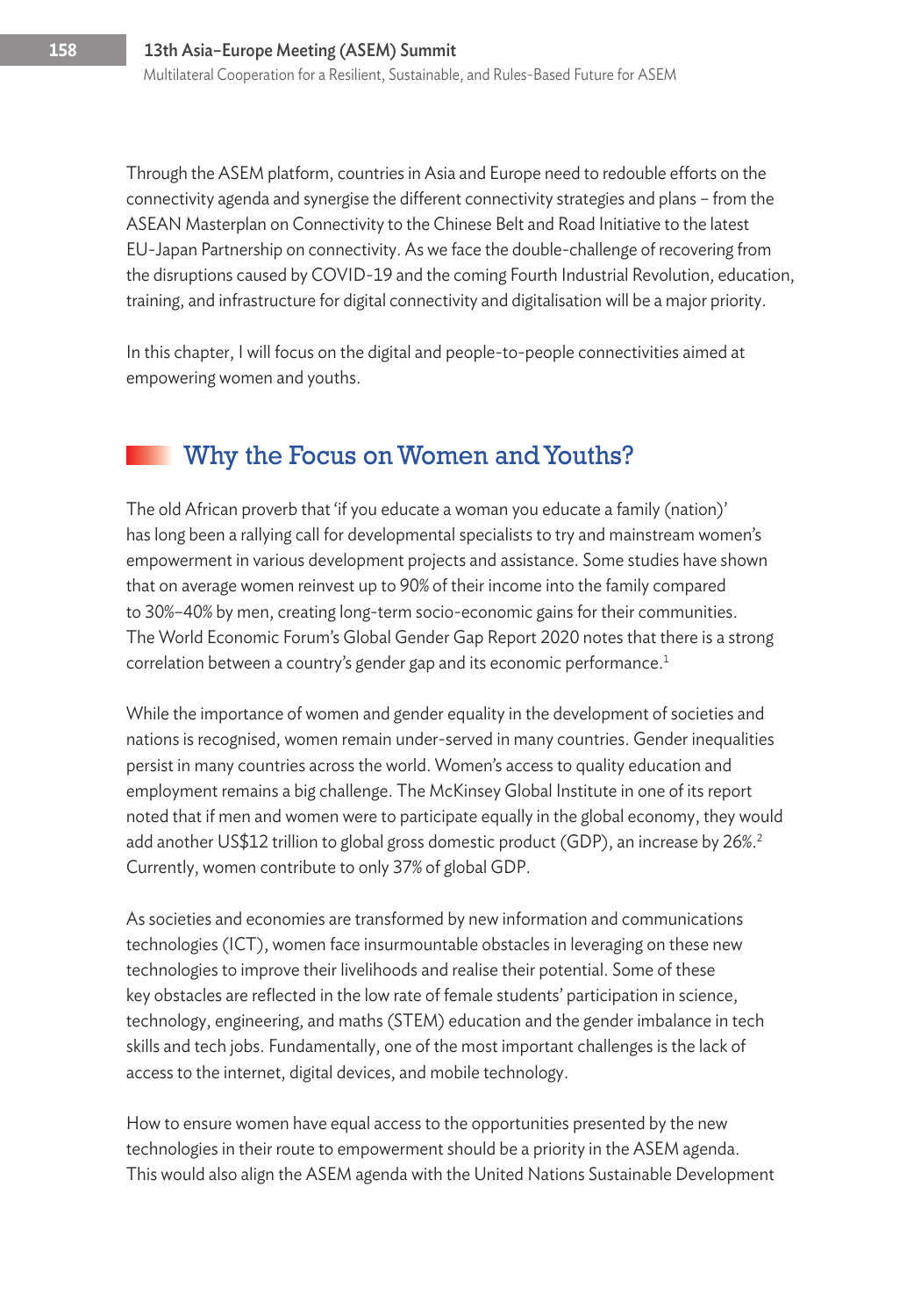Through the ASEM platform, countries in Asia and Europe need to redouble efforts on the connectivity agenda and synergise the different connectivity strategies and plans – from the ASEAN Masterplan on Connectivity to the Chinese Belt and Road Initiative to the latest EU-Japan Partnership on connectivity. As we face the double-challenge of recovering from the disruptions caused by COVID-19 and the coming Fourth Industrial Revolution, education, training, and infrastructure for digital connectivity and digitalisation will be a major priority.

In this chapter, I will focus on the digital and people-to-people connectivities aimed at empowering women and youths.

#### Why the Focus on Women and Youths?

The old African proverb that 'if you educate a woman you educate a family (nation)' has long been a rallying call for developmental specialists to try and mainstream women's empowerment in various development projects and assistance. Some studies have shown that on average women reinvest up to 90% of their income into the family compared to 30%–40% by men, creating long-term socio-economic gains for their communities. The World Economic Forum's Global Gender Gap Report 2020 notes that there is a strong correlation between a country's gender gap and its economic performance.<sup>1</sup>

While the importance of women and gender equality in the development of societies and nations is recognised, women remain under-served in many countries. Gender inequalities persist in many countries across the world. Women's access to quality education and employment remains a big challenge. The McKinsey Global Institute in one of its report noted that if men and women were to participate equally in the global economy, they would add another US\$12 trillion to global gross domestic product (GDP), an increase by 26%.<sup>2</sup> Currently, women contribute to only 37% of global GDP.

As societies and economies are transformed by new information and communications technologies (ICT), women face insurmountable obstacles in leveraging on these new technologies to improve their livelihoods and realise their potential. Some of these key obstacles are reflected in the low rate of female students' participation in science, technology, engineering, and maths (STEM) education and the gender imbalance in tech skills and tech jobs. Fundamentally, one of the most important challenges is the lack of access to the internet, digital devices, and mobile technology.

How to ensure women have equal access to the opportunities presented by the new technologies in their route to empowerment should be a priority in the ASEM agenda. This would also align the ASEM agenda with the United Nations Sustainable Development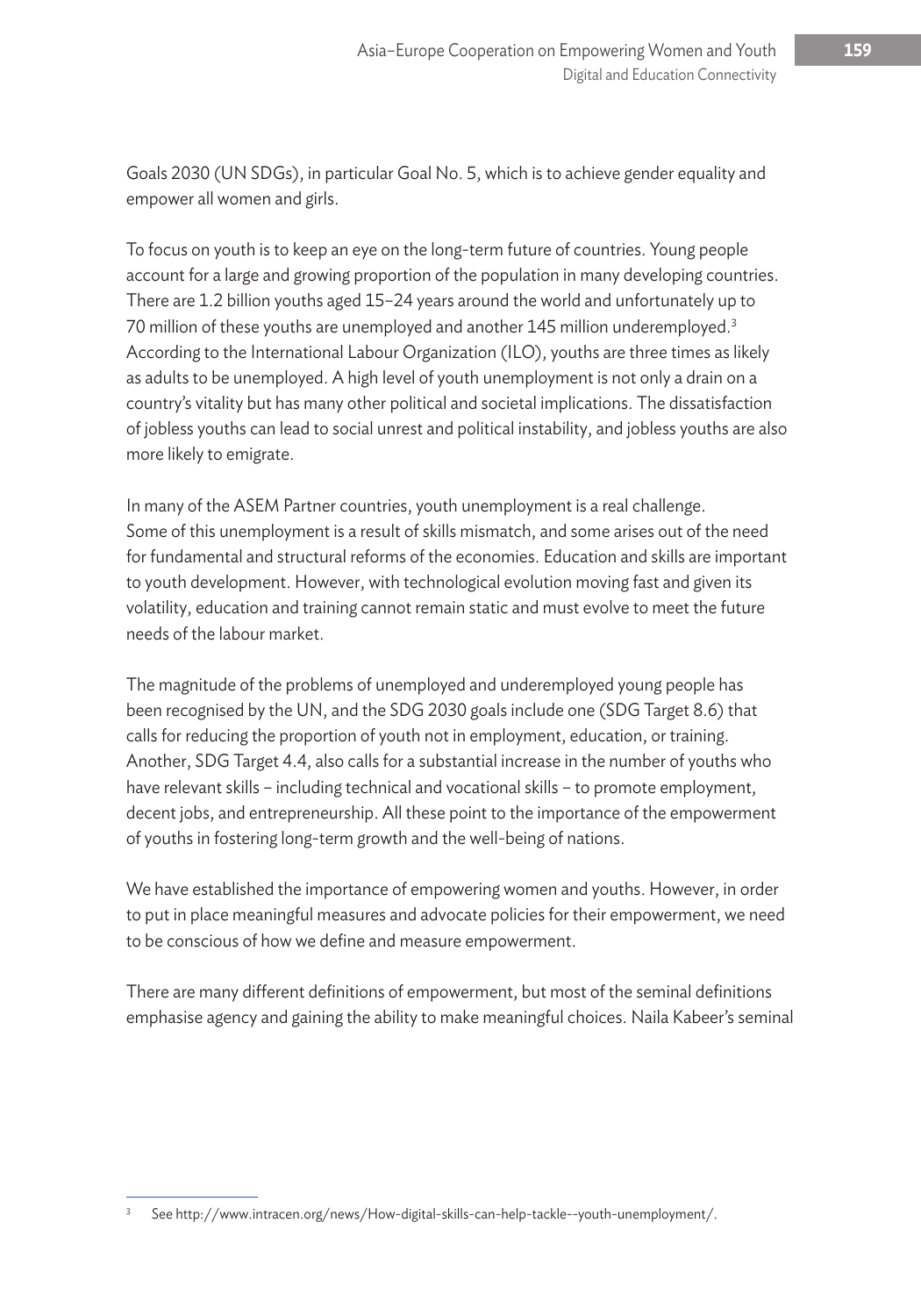Goals 2030 (UN SDGs), in particular Goal No. 5, which is to achieve gender equality and empower all women and girls.

To focus on youth is to keep an eye on the long-term future of countries. Young people account for a large and growing proportion of the population in many developing countries. There are 1.2 billion youths aged 15–24 years around the world and unfortunately up to 70 million of these youths are unemployed and another 145 million underemployed.<sup>3</sup> According to the International Labour Organization (ILO), youths are three times as likely as adults to be unemployed. A high level of youth unemployment is not only a drain on a country's vitality but has many other political and societal implications. The dissatisfaction of jobless youths can lead to social unrest and political instability, and jobless youths are also more likely to emigrate.

In many of the ASEM Partner countries, youth unemployment is a real challenge. Some of this unemployment is a result of skills mismatch, and some arises out of the need for fundamental and structural reforms of the economies. Education and skills are important to youth development. However, with technological evolution moving fast and given its volatility, education and training cannot remain static and must evolve to meet the future needs of the labour market.

The magnitude of the problems of unemployed and underemployed young people has been recognised by the UN, and the SDG 2030 goals include one (SDG Target 8.6) that calls for reducing the proportion of youth not in employment, education, or training. Another, SDG Target 4.4, also calls for a substantial increase in the number of youths who have relevant skills – including technical and vocational skills – to promote employment, decent jobs, and entrepreneurship. All these point to the importance of the empowerment of youths in fostering long-term growth and the well-being of nations.

We have established the importance of empowering women and youths. However, in order to put in place meaningful measures and advocate policies for their empowerment, we need to be conscious of how we define and measure empowerment.

There are many different definitions of empowerment, but most of the seminal definitions emphasise agency and gaining the ability to make meaningful choices. Naila Kabeer's seminal

<sup>3</sup> See http://www.intracen.org/news/How-digital-skills-can-help-tackle--youth-unemployment/.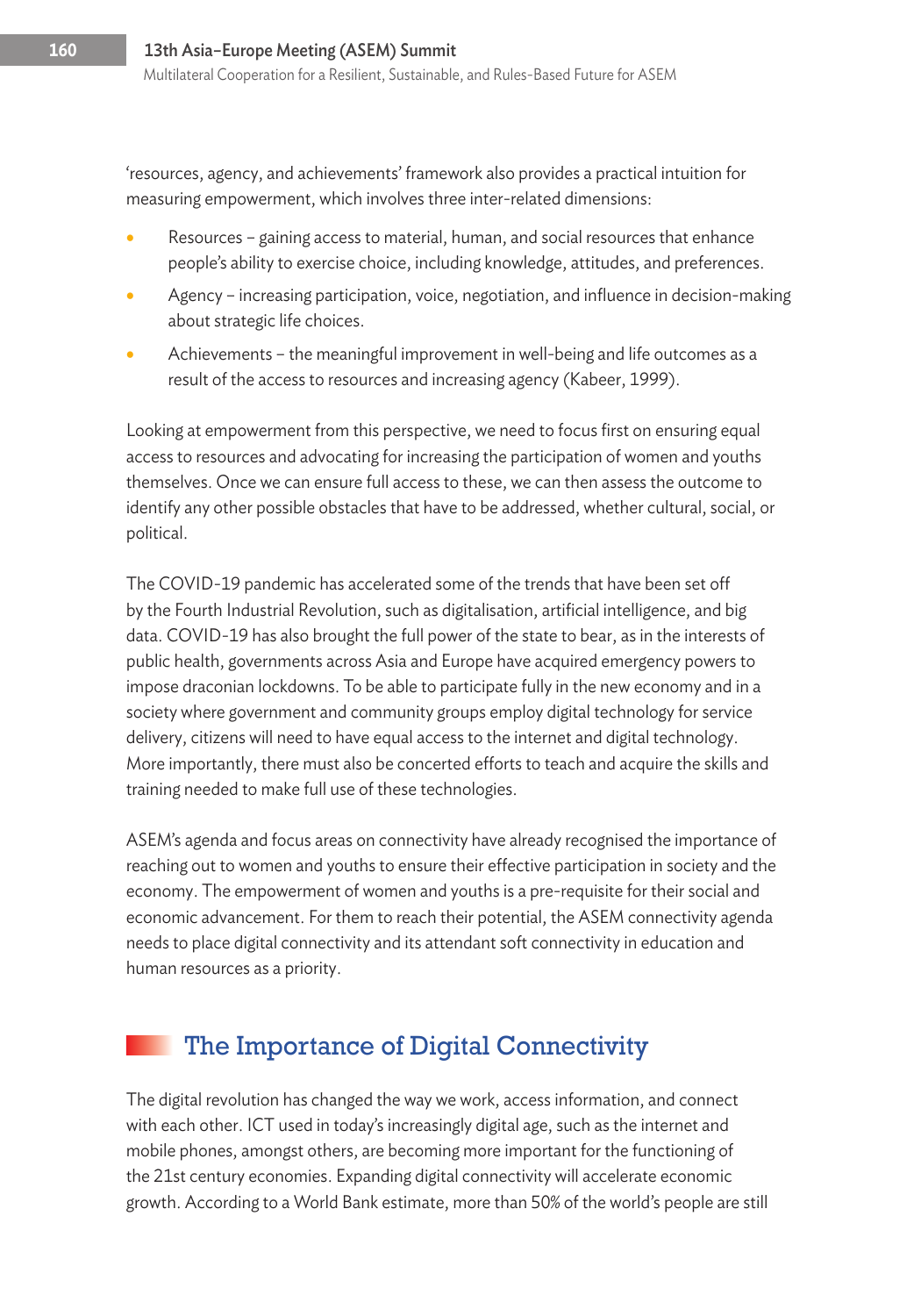'resources, agency, and achievements' framework also provides a practical intuition for measuring empowerment, which involves three inter-related dimensions:

- Resources gaining access to material, human, and social resources that enhance people's ability to exercise choice, including knowledge, attitudes, and preferences.
- Agency increasing participation, voice, negotiation, and influence in decision-making about strategic life choices.
- Achievements the meaningful improvement in well-being and life outcomes as a result of the access to resources and increasing agency (Kabeer, 1999).

Looking at empowerment from this perspective, we need to focus first on ensuring equal access to resources and advocating for increasing the participation of women and youths themselves. Once we can ensure full access to these, we can then assess the outcome to identify any other possible obstacles that have to be addressed, whether cultural, social, or political.

The COVID-19 pandemic has accelerated some of the trends that have been set off by the Fourth Industrial Revolution, such as digitalisation, artificial intelligence, and big data. COVID-19 has also brought the full power of the state to bear, as in the interests of public health, governments across Asia and Europe have acquired emergency powers to impose draconian lockdowns. To be able to participate fully in the new economy and in a society where government and community groups employ digital technology for service delivery, citizens will need to have equal access to the internet and digital technology. More importantly, there must also be concerted efforts to teach and acquire the skills and training needed to make full use of these technologies.

ASEM's agenda and focus areas on connectivity have already recognised the importance of reaching out to women and youths to ensure their effective participation in society and the economy. The empowerment of women and youths is a pre-requisite for their social and economic advancement. For them to reach their potential, the ASEM connectivity agenda needs to place digital connectivity and its attendant soft connectivity in education and human resources as a priority.

#### The Importance of Digital Connectivity

The digital revolution has changed the way we work, access information, and connect with each other. ICT used in today's increasingly digital age, such as the internet and mobile phones, amongst others, are becoming more important for the functioning of the 21st century economies. Expanding digital connectivity will accelerate economic growth. According to a World Bank estimate, more than 50% of the world's people are still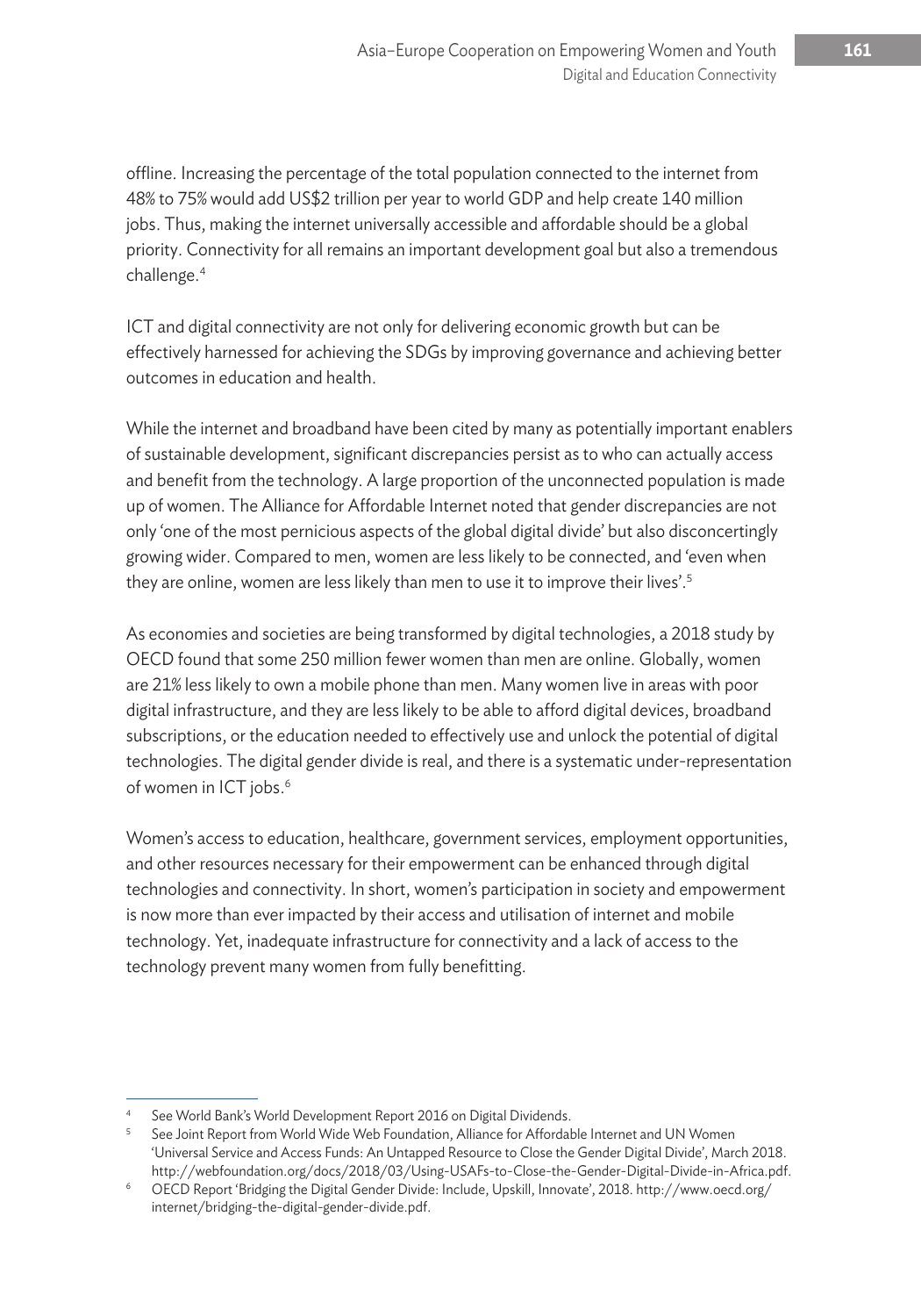offline. Increasing the percentage of the total population connected to the internet from 48% to 75% would add US\$2 trillion per year to world GDP and help create 140 million jobs. Thus, making the internet universally accessible and affordable should be a global priority. Connectivity for all remains an important development goal but also a tremendous challenge.4

ICT and digital connectivity are not only for delivering economic growth but can be effectively harnessed for achieving the SDGs by improving governance and achieving better outcomes in education and health.

While the internet and broadband have been cited by many as potentially important enablers of sustainable development, significant discrepancies persist as to who can actually access and benefit from the technology. A large proportion of the unconnected population is made up of women. The Alliance for Affordable Internet noted that gender discrepancies are not only 'one of the most pernicious aspects of the global digital divide' but also disconcertingly growing wider. Compared to men, women are less likely to be connected, and 'even when they are online, women are less likely than men to use it to improve their lives'.5

As economies and societies are being transformed by digital technologies, a 2018 study by OECD found that some 250 million fewer women than men are online. Globally, women are 21% less likely to own a mobile phone than men. Many women live in areas with poor digital infrastructure, and they are less likely to be able to afford digital devices, broadband subscriptions, or the education needed to effectively use and unlock the potential of digital technologies. The digital gender divide is real, and there is a systematic under-representation of women in ICT jobs.<sup>6</sup>

Women's access to education, healthcare, government services, employment opportunities, and other resources necessary for their empowerment can be enhanced through digital technologies and connectivity. In short, women's participation in society and empowerment is now more than ever impacted by their access and utilisation of internet and mobile technology. Yet, inadequate infrastructure for connectivity and a lack of access to the technology prevent many women from fully benefitting.

See World Bank's World Development Report 2016 on Digital Dividends.

<sup>5</sup> See Joint Report from World Wide Web Foundation, Alliance for Affordable Internet and UN Women 'Universal Service and Access Funds: An Untapped Resource to Close the Gender Digital Divide', March 2018. http://webfoundation.org/docs/2018/03/Using-USAFs-to-Close-the-Gender-Digital-Divide-in-Africa.pdf.

<sup>6</sup> OECD Report 'Bridging the Digital Gender Divide: Include, Upskill, Innovate', 2018. http://www.oecd.org/ internet/bridging-the-digital-gender-divide.pdf.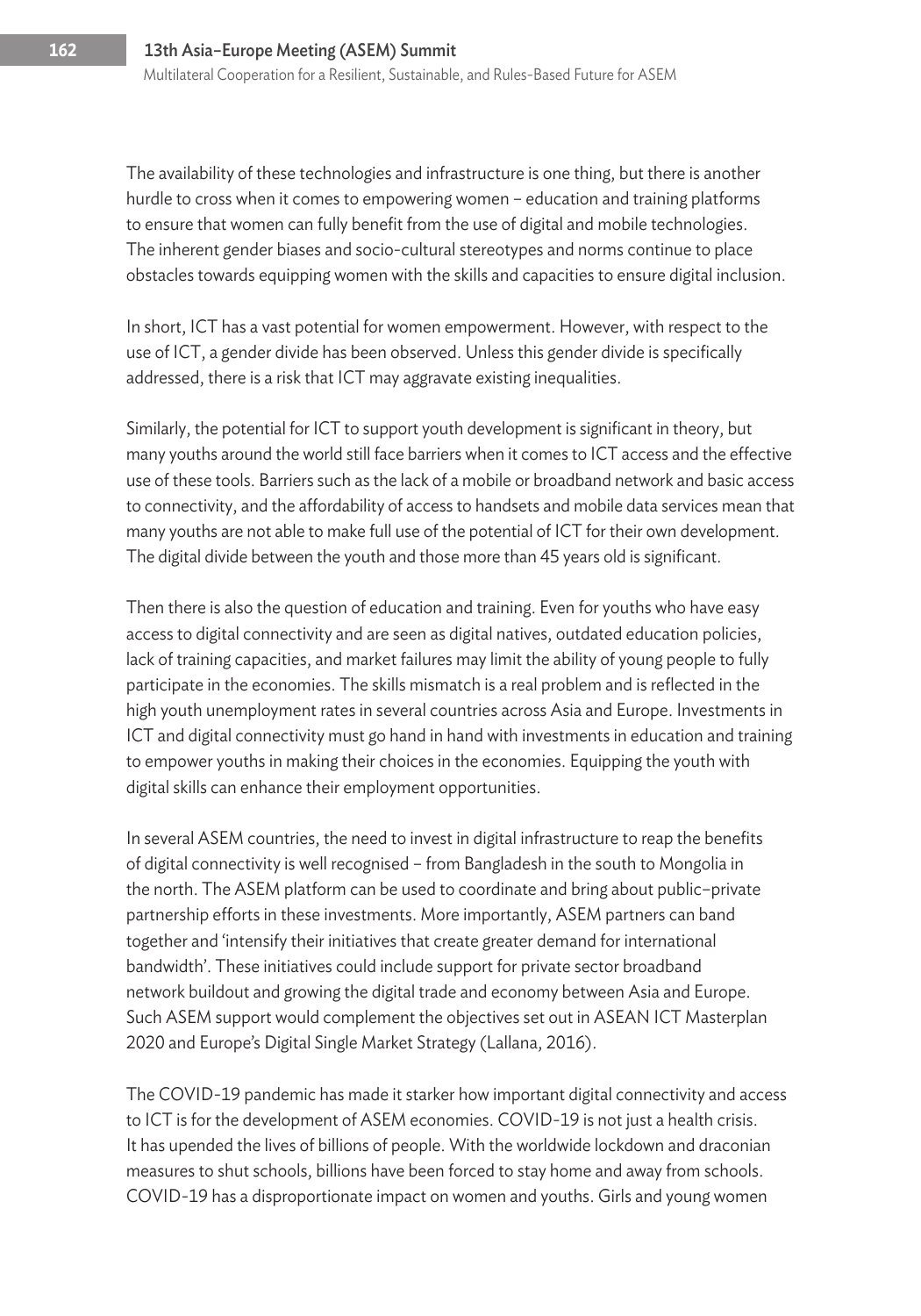The availability of these technologies and infrastructure is one thing, but there is another hurdle to cross when it comes to empowering women - education and training platforms to ensure that women can fully benefit from the use of digital and mobile technologies. The inherent gender biases and socio-cultural stereotypes and norms continue to place obstacles towards equipping women with the skills and capacities to ensure digital inclusion.

In short, ICT has a vast potential for women empowerment. However, with respect to the use of ICT, a gender divide has been observed. Unless this gender divide is specifically addressed, there is a risk that ICT may aggravate existing inequalities.

Similarly, the potential for ICT to support youth development is significant in theory, but many youths around the world still face barriers when it comes to ICT access and the effective use of these tools. Barriers such as the lack of a mobile or broadband network and basic access to connectivity, and the affordability of access to handsets and mobile data services mean that many youths are not able to make full use of the potential of ICT for their own development. The digital divide between the youth and those more than 45 years old is significant.

Then there is also the question of education and training. Even for youths who have easy access to digital connectivity and are seen as digital natives, outdated education policies, lack of training capacities, and market failures may limit the ability of young people to fully participate in the economies. The skills mismatch is a real problem and is reflected in the high youth unemployment rates in several countries across Asia and Europe. Investments in ICT and digital connectivity must go hand in hand with investments in education and training to empower youths in making their choices in the economies. Equipping the youth with digital skills can enhance their employment opportunities.

In several ASEM countries, the need to invest in digital infrastructure to reap the benefits of digital connectivity is well recognised – from Bangladesh in the south to Mongolia in the north. The ASEM platform can be used to coordinate and bring about public–private partnership efforts in these investments. More importantly, ASEM partners can band together and 'intensify their initiatives that create greater demand for international bandwidth'. These initiatives could include support for private sector broadband network buildout and growing the digital trade and economy between Asia and Europe. Such ASEM support would complement the objectives set out in ASEAN ICT Masterplan 2020 and Europe's Digital Single Market Strategy (Lallana, 2016).

The COVID-19 pandemic has made it starker how important digital connectivity and access to ICT is for the development of ASEM economies. COVID-19 is not just a health crisis. It has upended the lives of billions of people. With the worldwide lockdown and draconian measures to shut schools, billions have been forced to stay home and away from schools. COVID-19 has a disproportionate impact on women and youths. Girls and young women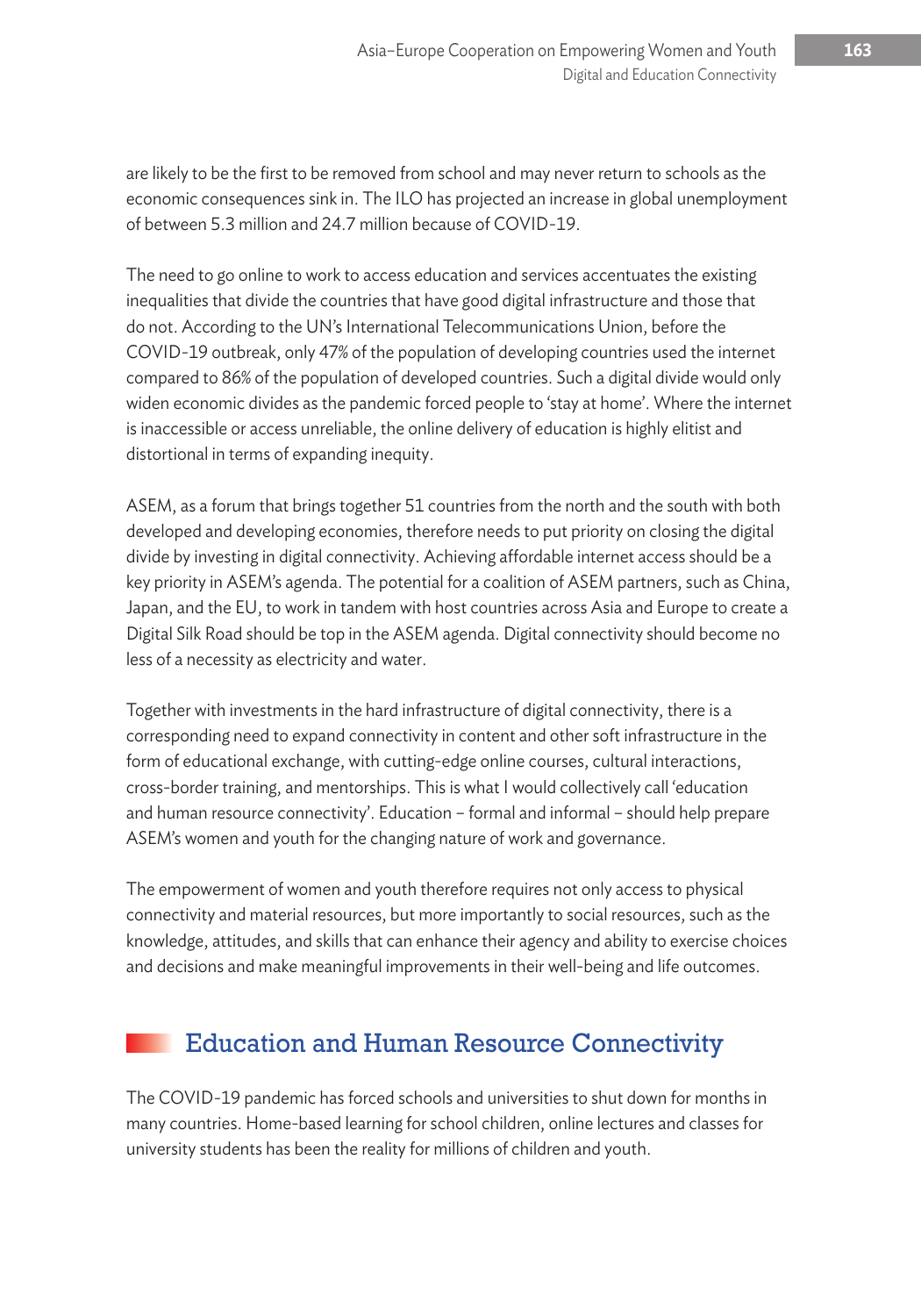are likely to be the first to be removed from school and may never return to schools as the economic consequences sink in. The ILO has projected an increase in global unemployment of between 5.3 million and 24.7 million because of COVID-19.

The need to go online to work to access education and services accentuates the existing inequalities that divide the countries that have good digital infrastructure and those that do not. According to the UN's International Telecommunications Union, before the COVID-19 outbreak, only 47% of the population of developing countries used the internet compared to 86% of the population of developed countries. Such a digital divide would only widen economic divides as the pandemic forced people to 'stay at home'. Where the internet is inaccessible or access unreliable, the online delivery of education is highly elitist and distortional in terms of expanding inequity.

ASEM, as a forum that brings together 51 countries from the north and the south with both developed and developing economies, therefore needs to put priority on closing the digital divide by investing in digital connectivity. Achieving affordable internet access should be a key priority in ASEM's agenda. The potential for a coalition of ASEM partners, such as China, Japan, and the EU, to work in tandem with host countries across Asia and Europe to create a Digital Silk Road should be top in the ASEM agenda. Digital connectivity should become no less of a necessity as electricity and water.

Together with investments in the hard infrastructure of digital connectivity, there is a corresponding need to expand connectivity in content and other soft infrastructure in the form of educational exchange, with cutting-edge online courses, cultural interactions, cross-border training, and mentorships. This is what I would collectively call 'education and human resource connectivity'. Education – formal and informal – should help prepare ASEM's women and youth for the changing nature of work and governance.

The empowerment of women and youth therefore requires not only access to physical connectivity and material resources, but more importantly to social resources, such as the knowledge, attitudes, and skills that can enhance their agency and ability to exercise choices and decisions and make meaningful improvements in their well-being and life outcomes.

### Education and Human Resource Connectivity

The COVID-19 pandemic has forced schools and universities to shut down for months in many countries. Home-based learning for school children, online lectures and classes for university students has been the reality for millions of children and youth.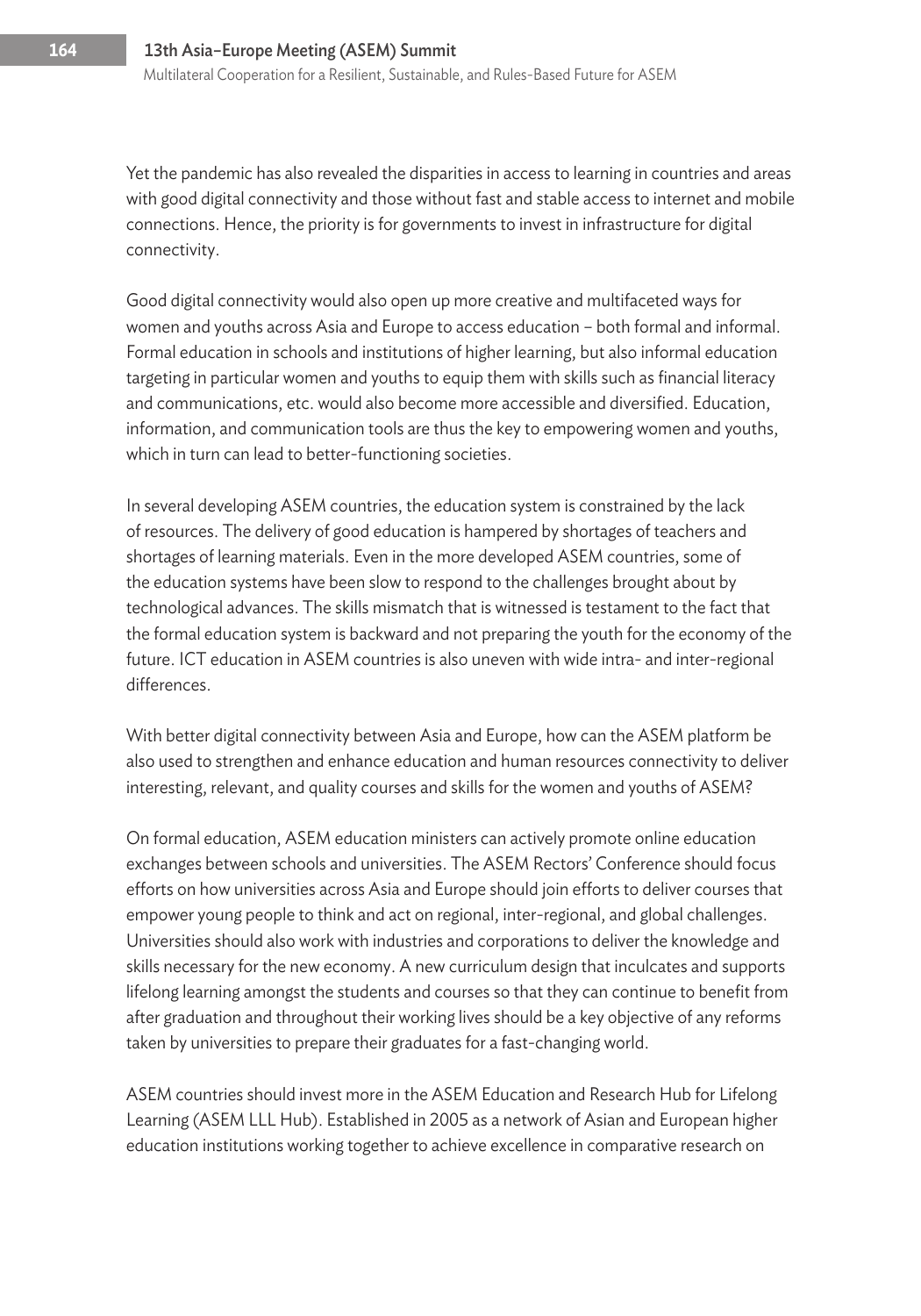Yet the pandemic has also revealed the disparities in access to learning in countries and areas with good digital connectivity and those without fast and stable access to internet and mobile connections. Hence, the priority is for governments to invest in infrastructure for digital connectivity.

Good digital connectivity would also open up more creative and multifaceted ways for women and youths across Asia and Europe to access education – both formal and informal. Formal education in schools and institutions of higher learning, but also informal education targeting in particular women and youths to equip them with skills such as financial literacy and communications, etc. would also become more accessible and diversified. Education, information, and communication tools are thus the key to empowering women and youths, which in turn can lead to better-functioning societies.

In several developing ASEM countries, the education system is constrained by the lack of resources. The delivery of good education is hampered by shortages of teachers and shortages of learning materials. Even in the more developed ASEM countries, some of the education systems have been slow to respond to the challenges brought about by technological advances. The skills mismatch that is witnessed is testament to the fact that the formal education system is backward and not preparing the youth for the economy of the future. ICT education in ASEM countries is also uneven with wide intra- and inter-regional differences.

With better digital connectivity between Asia and Europe, how can the ASEM platform be also used to strengthen and enhance education and human resources connectivity to deliver interesting, relevant, and quality courses and skills for the women and youths of ASEM?

On formal education, ASEM education ministers can actively promote online education exchanges between schools and universities. The ASEM Rectors' Conference should focus efforts on how universities across Asia and Europe should join efforts to deliver courses that empower young people to think and act on regional, inter-regional, and global challenges. Universities should also work with industries and corporations to deliver the knowledge and skills necessary for the new economy. A new curriculum design that inculcates and supports lifelong learning amongst the students and courses so that they can continue to benefit from after graduation and throughout their working lives should be a key objective of any reforms taken by universities to prepare their graduates for a fast-changing world.

ASEM countries should invest more in the ASEM Education and Research Hub for Lifelong Learning (ASEM LLL Hub). Established in 2005 as a network of Asian and European higher education institutions working together to achieve excellence in comparative research on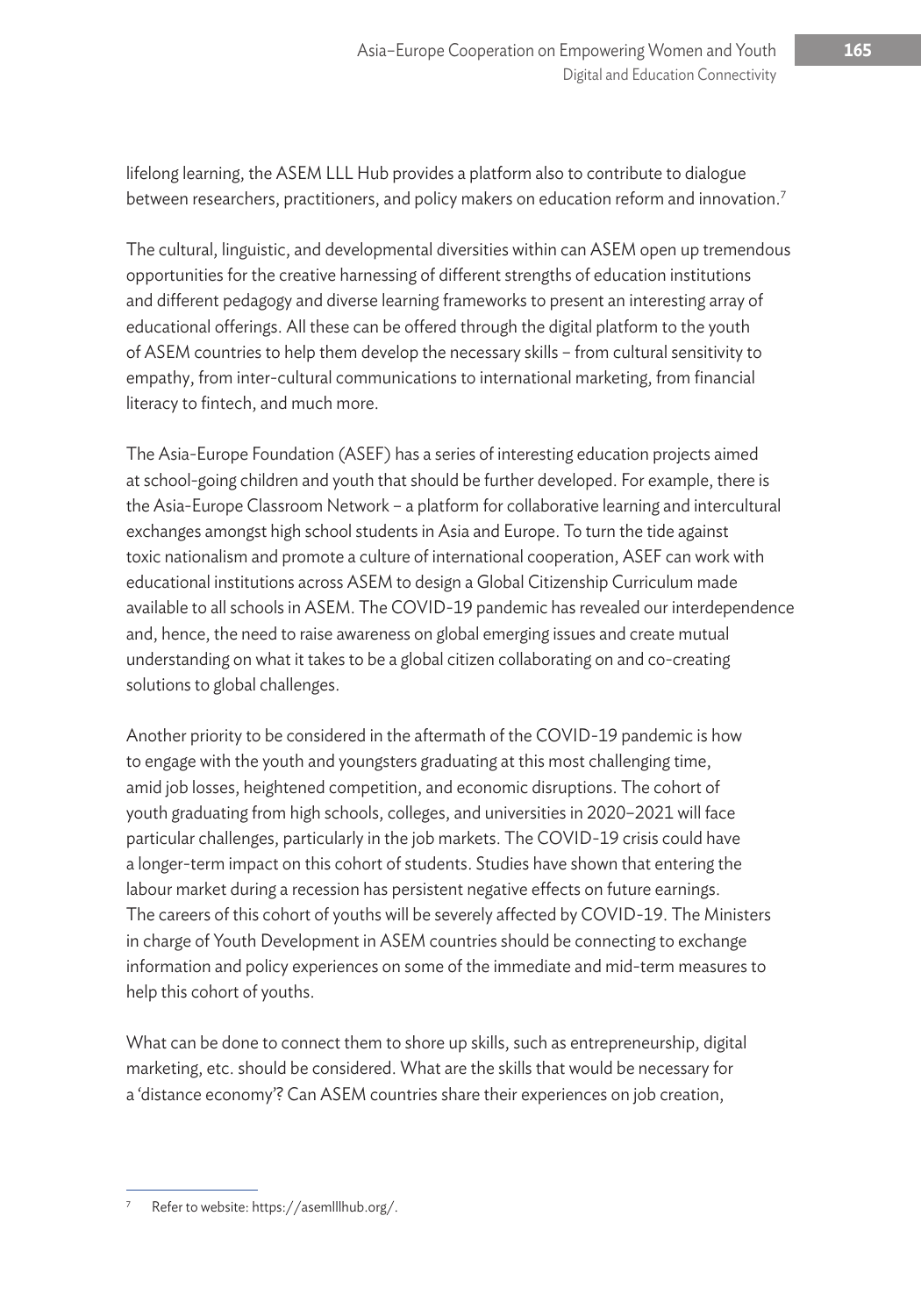lifelong learning, the ASEM LLL Hub provides a platform also to contribute to dialogue between researchers, practitioners, and policy makers on education reform and innovation.<sup>7</sup>

The cultural, linguistic, and developmental diversities within can ASEM open up tremendous opportunities for the creative harnessing of different strengths of education institutions and different pedagogy and diverse learning frameworks to present an interesting array of educational offerings. All these can be offered through the digital platform to the youth of ASEM countries to help them develop the necessary skills – from cultural sensitivity to empathy, from inter-cultural communications to international marketing, from financial literacy to fintech, and much more.

The Asia-Europe Foundation (ASEF) has a series of interesting education projects aimed at school-going children and youth that should be further developed. For example, there is the Asia-Europe Classroom Network – a platform for collaborative learning and intercultural exchanges amongst high school students in Asia and Europe. To turn the tide against toxic nationalism and promote a culture of international cooperation, ASEF can work with educational institutions across ASEM to design a Global Citizenship Curriculum made available to all schools in ASEM. The COVID-19 pandemic has revealed our interdependence and, hence, the need to raise awareness on global emerging issues and create mutual understanding on what it takes to be a global citizen collaborating on and co-creating solutions to global challenges.

Another priority to be considered in the aftermath of the COVID-19 pandemic is how to engage with the youth and youngsters graduating at this most challenging time, amid job losses, heightened competition, and economic disruptions. The cohort of youth graduating from high schools, colleges, and universities in 2020–2021 will face particular challenges, particularly in the job markets. The COVID-19 crisis could have a longer-term impact on this cohort of students. Studies have shown that entering the labour market during a recession has persistent negative effects on future earnings. The careers of this cohort of youths will be severely affected by COVID-19. The Ministers in charge of Youth Development in ASEM countries should be connecting to exchange information and policy experiences on some of the immediate and mid-term measures to help this cohort of youths.

What can be done to connect them to shore up skills, such as entrepreneurship, digital marketing, etc. should be considered. What are the skills that would be necessary for a 'distance economy'? Can ASEM countries share their experiences on job creation,

Refer to website: https://asemlllhub.org/.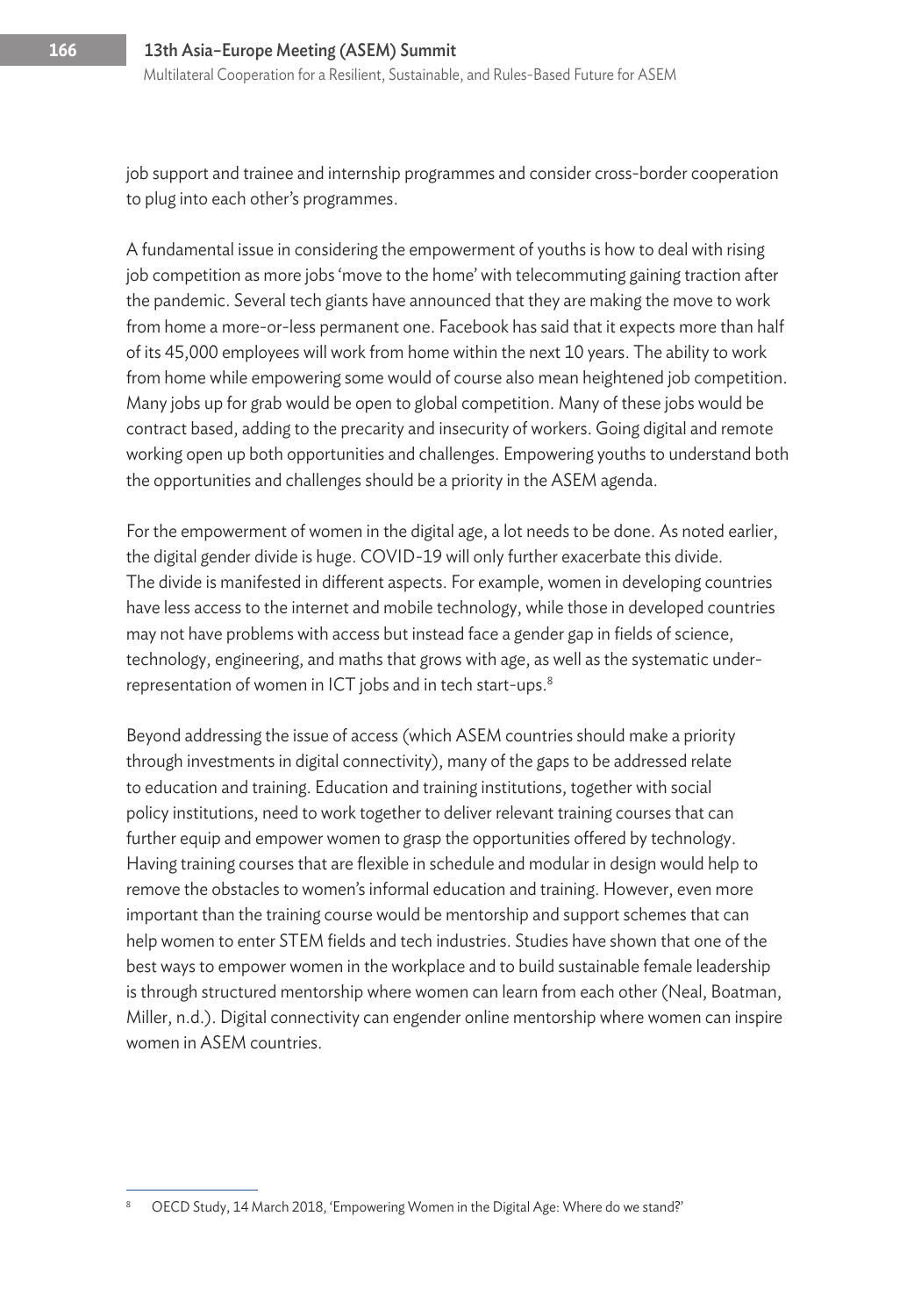job support and trainee and internship programmes and consider cross-border cooperation to plug into each other's programmes.

A fundamental issue in considering the empowerment of youths is how to deal with rising job competition as more jobs 'move to the home' with telecommuting gaining traction after the pandemic. Several tech giants have announced that they are making the move to work from home a more-or-less permanent one. Facebook has said that it expects more than half of its 45,000 employees will work from home within the next 10 years. The ability to work from home while empowering some would of course also mean heightened job competition. Many jobs up for grab would be open to global competition. Many of these jobs would be contract based, adding to the precarity and insecurity of workers. Going digital and remote working open up both opportunities and challenges. Empowering youths to understand both the opportunities and challenges should be a priority in the ASEM agenda.

For the empowerment of women in the digital age, a lot needs to be done. As noted earlier, the digital gender divide is huge. COVID-19 will only further exacerbate this divide. The divide is manifested in different aspects. For example, women in developing countries have less access to the internet and mobile technology, while those in developed countries may not have problems with access but instead face a gender gap in fields of science, technology, engineering, and maths that grows with age, as well as the systematic underrepresentation of women in ICT jobs and in tech start-ups.<sup>8</sup>

Beyond addressing the issue of access (which ASEM countries should make a priority through investments in digital connectivity), many of the gaps to be addressed relate to education and training. Education and training institutions, together with social policy institutions, need to work together to deliver relevant training courses that can further equip and empower women to grasp the opportunities offered by technology. Having training courses that are flexible in schedule and modular in design would help to remove the obstacles to women's informal education and training. However, even more important than the training course would be mentorship and support schemes that can help women to enter STEM fields and tech industries. Studies have shown that one of the best ways to empower women in the workplace and to build sustainable female leadership is through structured mentorship where women can learn from each other (Neal, Boatman, Miller, n.d.). Digital connectivity can engender online mentorship where women can inspire women in ASEM countries.

<sup>8</sup> OECD Study, 14 March 2018, 'Empowering Women in the Digital Age: Where do we stand?'